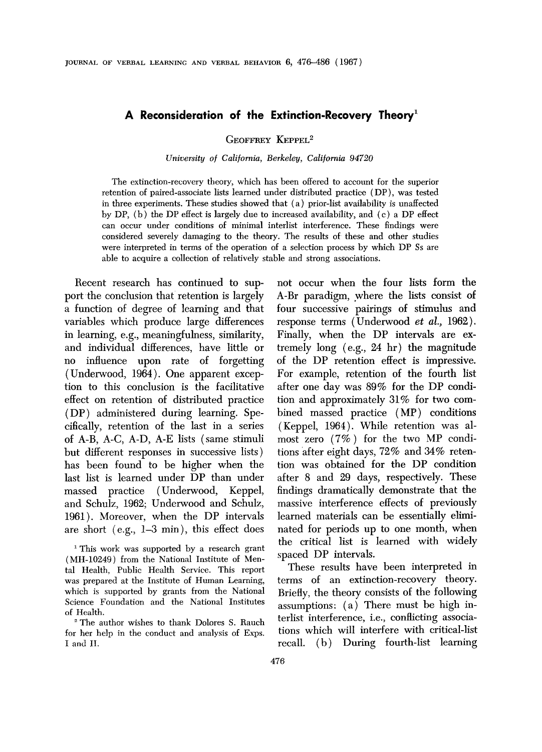# **A Reconsideration of the Extinction-Recovery Theory 1**

GEOFFREY KEPPEL<sup>2</sup>

*University o[ California, Berkeley, California 94720* 

The extinction-recovery theory, which has been offered to account for the superior retention of paired-associate lists learned under distributed practice (DP), was tested in three experiments. These studies showed that (a) prior-list availability is unaffected by DP,  $(b)$  the DP effect is largely due to increased availability, and  $(c)$  a DP effect can occur under conditions of minimal interlist interference. These findings were considered severely damaging to the theory. The results of these and other studies were interpreted in terms of the operation of a selection process by which DP Ss are able to acquire a collection of relatively stable and strong associations.

Recent research has continued to support the conclusion that retention is largely a function of degree of learning and that variables which produce large differences in learning, e.g., meaningfulness, similarity, and individual differences, have little or no influence upon rate of forgetting (Underwood, 1964). One apparent exception to this conclusion is the facilitative effect on retention of distributed practice (DP) administered during learning. Specifically, retention of the last in a series of A-B, A-C, A-D, A-E lists (same stimuli but different responses in successive lists) has been found to be higher when the last list is learned under DP than under massed practice (Underwood, Keppel, and Schulz, 1962; Underwood and Schulz, 1961). Moreover, when the DP intervals are short (e.g.,  $1-3$  min), this effect does

<sup>1</sup> This work was supported by a research grant (MH-10249) from the National Institute of Mental Health, Public Health Service. This report was prepared at the Institute of Human Learning, which is supported by grants from the National Science Foundation and the National Institutes of Health.

<sup>2</sup> The author wishes to thank Dolores S. Rauch for her help in the conduct and analysis of Exps. I and II.

not occur when the four lists form the A-Br paradigm, where the lists consist of four successive pairings of stimulus and response terms (Underwood *et al.,* 1962). Finally, when the DP intervals are extremely long (e.g., 24 hr) the magnitude of the DP retention effect is impressive. For example, retention of the fourth list after one day was 89% for the DP condition and approximately 31% for two combined massed practice (MP) conditions (Keppel, 1964). While retention was almost zero (7%) for the two MP conditions after eight days, 72% and 34% retention was obtained for the DP condition after 8 and 29 days, respectively. These findings dramatically demonstrate that the massive interference effects of previously learned materials can be essentially eliminated for periods up to one month, when the critical list is learned with widely spaced DP intervals.

These results have been interpreted in terms of an extinction-recovery theory. Briefly, the theory consists of the following assumptions: (a) There must be high interlist interference, i.e., conflicting associations which will interfere with critical-list recall. (b) During fourth-list learning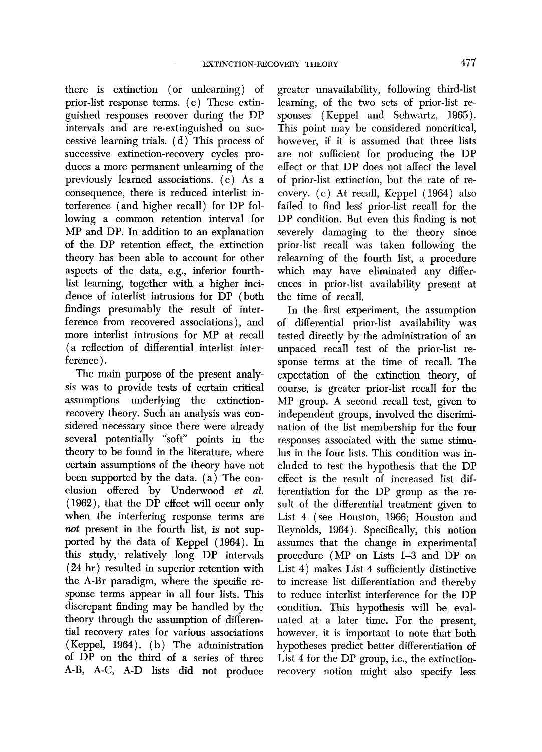there is extinction (or unlearning) of prior-list response terms. (c) These extinguished responses recover during the DP intervals and are re-extinguished on successive learning trials. (d) This process of successive extinction-recovery cycles produces a more permanent unlearning of the previously learned associations. (e) As a consequence, there is reduced interlist interference (and higher recall) for DP following a common retention interval for MP and DP. In addition to an explanation of the DP retention effect, the extinction theory has been able to account for other aspects of the data, e.g., inferior fourthlist learning, together with a higher incidence of interlist intrusions for DP (both findings presumably the result of interference from recovered associations), and more interlist intrusions for MP at recall (a reflection of differential interlist interference ).

The main purpose of the present analysis was to provide tests of certain critical assumptions underlying the extinctionrecovery theory. Such an analysis was considered necessary since there were already several potentially "soft" points in the theory to be found in the literature, where certain assumptions of the theory have not been supported by the data. (a) The conclusion offered by Underwood *et al.*  (1962), that the DP effect will occur only when the interfering response terms are *not* present in the fourth list, is not supported by the data of Keppel (1964). In this study, relatively long DP intervals (24 hr) resulted in superior retention with the A-Br paradigm, where the specific response terms appear in all four lists. This discrepant finding may be handled by the theory through the assumption of differential recovery rates for various associations (Keppel, 1964). (b) The administration of DP on the third of a series of three A-B, A-C, A-D lists did not produce

greater unavailability, following third-list learning, of the two sets of prior-list responses (Keppel and Schwartz, 1965). This point may be considered noncritical, however, if it is assumed that three lists are not sufficient for producing the DP effect or that DP does not affect the level of prior-list extinction, but the rate of recovery. (c) At recall, Keppel (1964) also failed to find less prior-list recall for the DP condition. But even this finding is not severely damaging to the theory since prior-list recall was taken following the relearning of the fourth list, a procedure which may have eliminated any differences in prior-list availability present at the time of recall.

In the first experiment, the assumption of differential prior-list availability was tested directly by the administration of an unpaced recall test of the prior-list response terms at the time of recall. The expectation of the extinction theory, of course, is greater prior-list recall for the MP group. A second recall test, given to independent groups, involved the discrimination of the list membership for the four responses associated with the same stimulus in the four lists. This condition was included to test the hypothesis that the DP effect is the result of increased list differentiation for the DP group as the result of the differential treatment given to List 4 (see Houston, 1966; Houston and Reynolds, 1964). Specifically, this notion assumes that the change in experimental procedure (MP on Lists 1-3 and DP on List 4) makes List 4 sufficiently distinctive to increase list differentiation and thereby to reduce interlist interference for the DP condition. This hypothesis will be evaluated at a later time. For the present, however, it is important to note that both hypotheses predict better differentiation of List 4 for the DP group, i.e., the extinctionrecovery notion might also specify less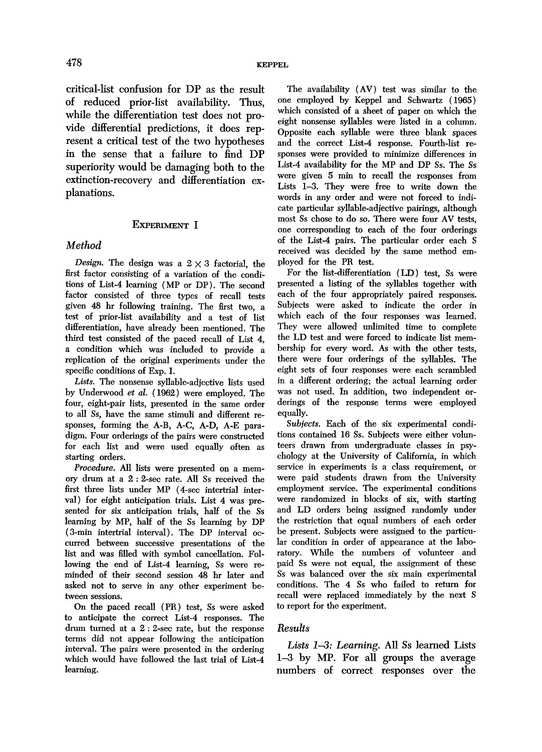critical-list confusion for DP as the result of reduced prior-list availability. Thus, while the differentiation test does not provide differential predictions, it does represent a critical test of the two hypotheses in the sense that a failure to find DP superiority would be damaging both to the extinction-recovery and differentiation explanations.

## EXPERIMENT I

## *Method*

*Design.* The design was a  $2 \times 3$  factorial, the first factor consisting of a variation of the conditions of List-4 learning (MP or DP). The second factor consisted of three types of recall tests given 48 hr following training. The first two, a test of prior-list availability and a test of list differentiation, have already been mentioned. The third test consisted of the paced recall of List 4, a condition which was included to provide a replication of the original experiments under the specific conditions of Exp. I.

*Lists. The* nonsense syllable-adjective lists used by Underwood *et al. (1962)* were employed. The four, eight-pair lists, presented in the same order to all Ss, have the same stimuli and different responses, forming the A-B, A-C, A-D, A-E paradigm. Four orderings of the pairs were constructed for each list and were used equally often as starting orders.

*Procedure.* All lists were presented on a memory drum at a 2 : 2-sec rate. All Ss received the first three lists under MP (4-sec intertrial interval) for eight anticipation trials. List 4 was presented for six anticipation trials, half of the Ss learning by MP, half of the Ss learning by DP (3-min intertrial interval). The DP interval occurred between successive presentations of the list and was filled with symbol cancellation. Following the end of List-4 learning, Ss were reminded of their second session 48 hr later and asked not to serve in any other experiment between sessions.

On the paced recall (PR) test, Ss were asked to anticipate the correct List-4 responses. The drum turned at a 2: 2-sec rate, but the response terms did not appear following the anticipation interval. The pairs were presented in the ordering which would have followed the last trial of List-4 learning.

The availability (AV) test was similar to the one employed by Keppel and Schwartz (1965) which consisted of a sheet of paper on which the eight nonsense syllables were listed in a column. Opposite each syllable were three blank spaces and the correct List-4 response. Fourth-list responses were provided to minimize differences in List-4 availability for the MP and DP Ss. The Ss were given 5 min to recall the responses from Lists 1-3. They were free to write down the words in any order and were not forced to indicate particular Syllable-adjective pairings, although most Ss chose to do so. There were four AV tests, one corresponding to each of the four orderings of the List-4 pairs. The particular order each S received Was decided by the same method employed for the PR test.

For the list-differentiation (LD) test, Ss were presented a listing of the syllables together with each of the four appropriately paired responses. Subjects were asked to indicate the order in which each of the four responses was learned. They were allowed unlimited time to complete the LD test and were forced to indicate list membership for every word. As with the other tests, there were four orderings of the syllables. The eight sets of four responses were each scrambled in a different ordering; the actual learning order was not used. In addition, two independent orderings of the response terms were employed equally.

*Subiects.* Each of the six experimental conditions contained 16 Ss. Subjects were either volunteers drawn from undergraduate classes in psychology at the University of California, in which service in experiments is a class requirement, or were paid students drawn from the University employment service. The experimental conditions were randomized in blocks of six, with starting and LD orders being assigned randomly under the restriction that equal numbers of each order be present. Subjects were assigned to the particular condition in order of appearance at the laboratory. While the numbers of volunteer and paid Ss were not equal, the assignment of these Ss was balanced over the six main experimental conditions. The 4 Ss who failed to return for recall were replaced immediately by the next S to report for the experiment.

## *Results*

*Lists 1-3: Learning.* All Ss learned Lists 1-3 by MP. For all groups the average numbers of correct responses over the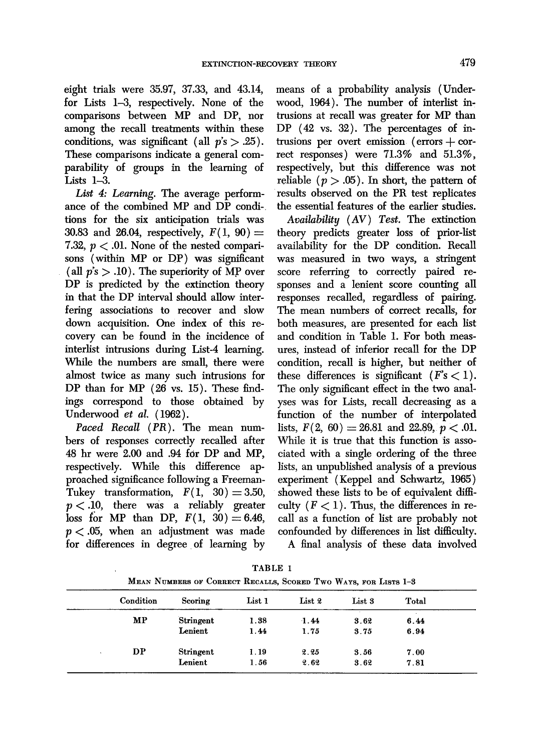eight trials were 35.97, 37.33, and 43.14, for Lists 1-3, respectively. None of the comparisons between MP and DP, nor among the recall treatments within these conditions, was significant (all  $p's > .25$ ). These comparisons indicate a general comparability of groups in the learning of Lists 1-3.

*List 4: Learning. The* average performance of the combined MP and DP conditions for the six anticipation trials was 30.83 and 26.04, respectively,  $F(1, 90) =$ 7.32,  $p < 0.01$ . None of the nested comparisons (within MP or DP) was significant (all  $p's > .10$ ). The superiority of MP over DP is predicted by the extinction theory in that the DP interval should allow interfering associations to recover and slow down acquisition. One index of this recovery can be found in the incidence of interlist intrusions during List-4 learning. While the numbers are small, there were almost twice as many such intrusions for DP than for MP (26 vs. 15). These findings correspond to those obtained by Underwood *et al. (1962).* 

*Paced Recall (PR)*. The mean numbers of responses correctly recalled after 48 hr were 2.00 and .94 for DP and MP, respectively. While this difference approached significance following a Freeman-Tukey transformation,  $F(1, 30) = 3.50$ ,  $p < .10$ , there was a reliably greater loss for MP than DP,  $F(1, 30) = 6.46$ ,  $p < .05$ , when an adjustment was made for differences in degree of learning by

means of a probability analysis (Underwood, 1964). The number of interlist intrusions at recall was greater for MP than DP (42 vs. 32). The percentages of intrusions per overt emission (errors  $+$  correct responses) were 71.3% and 51.3%, respectively, but this difference was not reliable  $(p > .05)$ . In short, the pattern of results observed on the PR test replicates the essential features of the earlier studies.

*Availability (AV) Test. The* extinction theory predicts greater loss of prior-list availability for the DP condition. Recall was measured in two ways, a stringent score referring to correctly paired responses and a lenient score counting all responses recalled, regardless of pairing. The mean numbers of correct recalls, for both measures, are presented for each list and condition in Table 1. For both measures, instead of inferior recall for the DP condition, recall is higher, but neither of these differences is significant  $(F<sup>s</sup> < 1)$ . The only significant effect in the two analyses was for Lists, recall decreasing as a function of the number of interpolated lists,  $F(2, 60) = 26.81$  and 22.89,  $p < .01$ . While it is true that this function is associated with a single ordering of the three lists, an unpublished analysis of a previous experiment (Keppel and Schwartz, 1965) showed these lists to be of equivalent difficulty  $(F < 1)$ . Thus, the differences in recall as a function of list are probably not confounded by differences in list difficulty.

A final analysis of these data involved

| Condition | Scoring   | List 1 | List 2 | List 3 | Total          |
|-----------|-----------|--------|--------|--------|----------------|
| MP        | Stringent | 1.38   | 1.44   | 3.62   | $\sim$<br>6.44 |
|           | Lenient   | 1.44   | 1.75   | 3.75   | 6.94           |
| DP        | Stringent | 1.19   | 2.25   | 3.56   | 7.00           |
|           | Lenient   | 1.56   | 2.62   | 3.62   | 7.81           |

TABLE 1 MEAN NUMBERS OF CORRECT RECALLS, SCORED TWO WAYS, FOR LISTS 1-3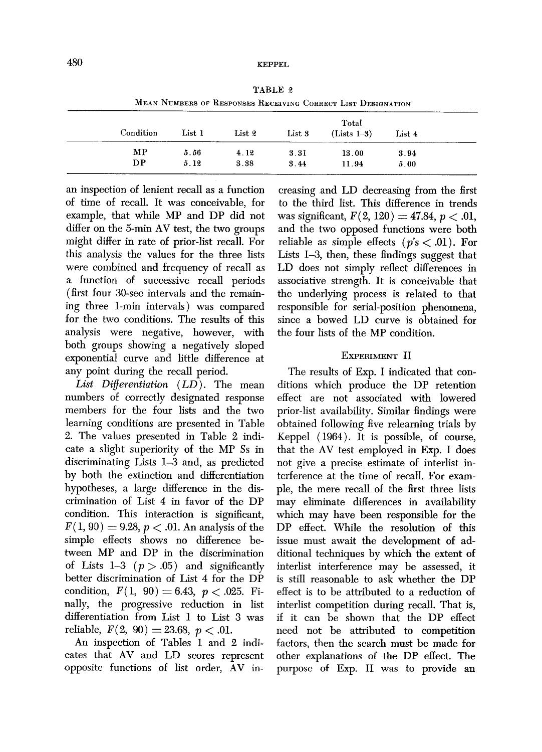480 KEPPEL

| TADLE 2<br>MEAN NUMBERS OF RESPONSES RECEIVING CORRECT LIST DESIGNATION |        |        |        |                        |        |
|-------------------------------------------------------------------------|--------|--------|--------|------------------------|--------|
| Condition                                                               | List 1 | List 2 | List 3 | Total<br>$(Lists 1-3)$ | List 4 |
| МP                                                                      | 5.56   | 4.12   | 3.31   | 13.00                  | 3.94   |
| DР                                                                      | 5.12   | 3.38   | 3.44   | 11.94                  | 5.00   |

TABLE 2

an inspection of lenient recall as a function of time of recall. It was conceivable, for example, that while MP and DP did not differ on the 5-min AV test, the two groups might differ in rate of prior-list recall. For this analysis the values for the three lists were combined and frequency of recall as a function of successive recall periods (first four 30-sec intervals and the remaining three 1-min intervals) was compared for the two conditions. The results of this analysis were negative, however, with both groups showing a negatively sloped exponential curve and little difference at any point during the recall period.

*List Differentiation (LD).* The mean numbers of correctly designated response members for the four lists and the two learning conditions are presented in Table 2. The values presented in Table 2 indicate a slight superiority of the MP Ss in discriminating Lists 1-3 and, as predicted by both the extinction and differentiation hypotheses, a large difference in the discrimination of List 4 in favor of the DP condition. This interaction is significant,  $F(1, 90) = 9.28, p < .01$ . An analysis of the simple effects shows no difference between MP and DP in the discrimination of Lists 1-3 ( $p > .05$ ) and significantly better discrimination of List 4 for the DP condition,  $F(1, 90) = 6.43$ ,  $p < .025$ . Finally, the progressive reduction in list differentiation from List 1 to List 3 was reliable,  $F(2, 90) = 23.68, p < .01$ .

An inspection of Tables 1 and 2 indicates that AV and LD scores represent opposite functions of list order, AV in-

creasing and LD decreasing from the first to the third list. This difference in trends was significant,  $F(2, 120) = 47.84$ ,  $p < .01$ , and the two opposed functions were both reliable as simple effects ( $p's < .01$ ). For Lists 1-3, then, these findings suggest that LD does not simply reflect differences in associative strength. It is conceivable that the underlying process is related to that responsible for serial-position phenomena, since a bowed LD curve is obtained for the four lists of the MP condition.

## EXPERIMENT II

The results of Exp. I indicated that conditions which produce the DP retention effect are not associated with lowered prior-list availability. Similar findings were obtained following five relearning trials by Keppel (1964). It is possible, of course, that the AV test employed in Exp. I does not give a precise estimate of interlist interference at the time of recall. For example, the mere recall of the first three lists may eliminate differences in availability which may have been responsible for the DP effect. While the resolution of this issue must await the development of additional techniques by which the extent of interlist interference may be assessed, it is still reasonable to ask whether the DP effect is to be attributed to a reduction of interlist competition during recall. That is, if it can be shown that the DP effect need not he attributed to competition factors, then the search must be made for other explanations of the DP effect. The purpose of Exp. II was to provide an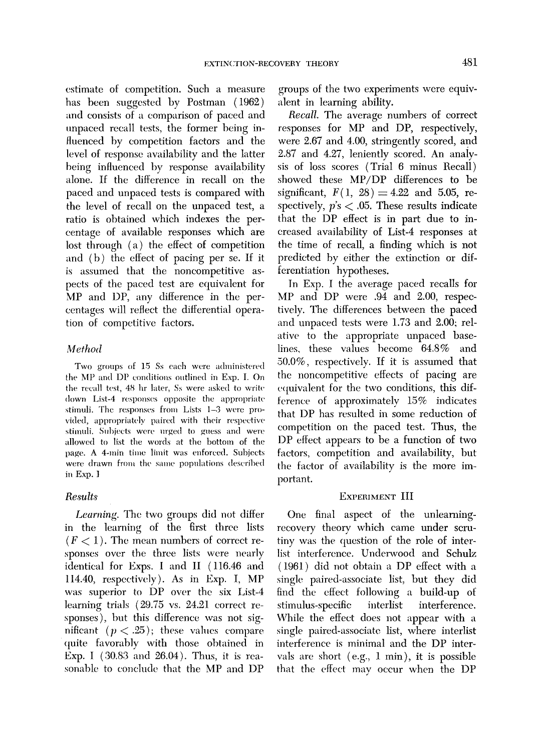estimate of competition. Such a measure has been suggested by Postman (1962) and consists of a comparison of paced and unpaeed recall tests, the former being influenced by competition factors and the level of response availability and the latter being influenced by response availability alone. If the difference in recall on the paced and unpaced tests is compared with the level of recall on the unpaced test, a ratio is obtained which indexes the pereentage of available responses which are lost through (a) the effect of competition and (b) the effect of pacing per se. If it is assumed that the noncompetitive aspects of the paced test are equivalent for MP and DP, any difference in the percentages will reflect the differential operation of competitive factors.

#### *Method*

Two groups of 15 Ss each were administered the MP and DP conditions outlined in Exp. I. On the recall test, 48 hr later, Ss were asked to write down List-4 responses opposite the appropriate stimuli. The responses from Lists 1-3 were provided, appropriately paired with their respective stimuli. Subjects were urged to guess and were allowed to list the words at the bottom of the page. A 4-rain time limit was enforced. Subjects were drawn from the same populations described in Exp. ]

## *Re,~ult3*

*Learning.* The two groups did not differ in the learning of the first three lists  $(F < 1)$ . The mean numbers of correct responses over the three lists were nearly identical for Exps. I and II (116.46 and 114.40, respectively). As in Exp. I, MP was superior to DP over the six List-4 learning trials (29.75 vs. 24.21 correct responses), but this difference was not significant  $(p < .25)$ ; these values compare quite favorably with those obtained in Exp. I (30.83 and 26.04). Thus, it is reasonable to conclude that the MP and DP

groups of the two experiments were equivalent in learning ability.

*Recall.* The average numbers of correct responses for MP and DP, respectively, were 2.67 and 4.00, stringently scored, and 2.87 and 4.27, leniently scored. An anaiysis of loss scores (Trial 6 minus Recall) showed these MP/DP differences to be significant,  $F(1, 28) = 4.22$  and 5.05, respectively,  $\dot{p}$ 's  $<$  0.5. These results indicate that the DP effect is in part due to increased availability of List-4 responses at the time of recall, a finding which is not predicted by either the extinction or differentiation hypotheses.

In Exp. I the average paced recalls for MP and DP were .94 and 2.00, respectively. The differences between the paced and unpaced tests were 1.73 and 2.00; relative to the appropriate unpaeed baselines, these values become 64.8% and 50.0%, respectively. If it is assumed that the noncompetitive effects of pacing are equivalent for the two conditions, this difference of approximately 15% indicates that DP has resulted in some reduction of competition on the paced test. Thus, the DP effect appears to be a function of two factors, competition and availability, but the factor of availability is the more important.

## EXPERIMENT III

One final aspect of the unlearningrecovery theory which came under scrutiny was the question of the role of interlist interference. Underwood and Sehulz (1961) did not obtain a DP effect with a single paired-associate list, but they did find the effect following a build-up of stimulus-specific interlist interference. While the effect does not appear with a single paired-associate list, where interlist interference is minimal and the DP intervals are short (e.g.,  $1 \text{ min}$ ), it is possible that the effect may occur when the DP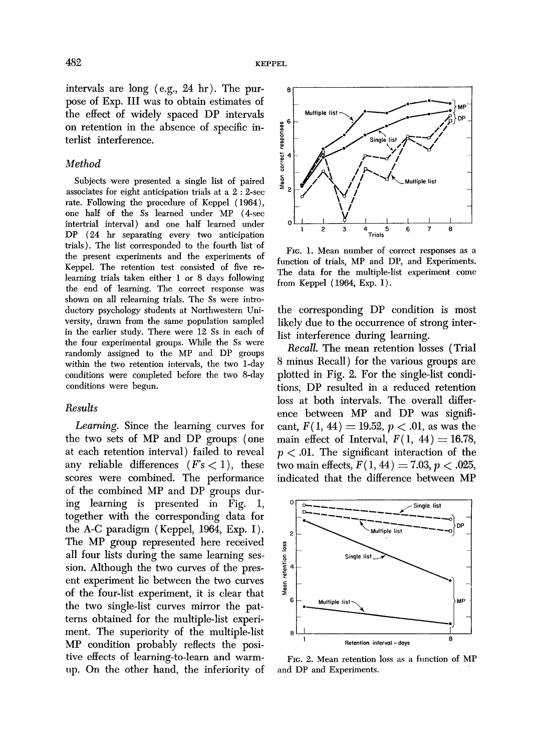intervals are long (e.g., 24 hr). The purpose of Exp. III was to obtain estimates of the effect of widely spaced DP intervals on retention in the absence of specific interlist interference.

### *Method*

Subjects were presented a single list of paired associates for eight anticipation trials at a 2 : 2-see rate. Following the procedure of Keppel (1964), one half of the Ss learned under MP (4-see intertrial interval) and one half learned under DP (24 hr separating every two anticipation trials). The list corresponded to the fourth list of the present experiments and the experiments of Keppel. The retention test consisted of five relearning trials taken either 1 or 8 days following the end of learning. The correct response was shown on all relearning trials. The Ss were introductory psychology students at Northwestern University, drawn from the same population sampled in the earlier study. There were 12 Ss in each of the four experimental groups. While the Ss were randomly assigned to the MP and DP groups within the two retention intervals, the two 1-day conditions were completed before the two 8-day conditions were begun.

### Results

*Learning.* Since the learning curves for the two sets of MP and DP groups (one at each retention interval) failed to reveal any reliable differences  $(Fs < 1)$ , these scores were combined. The performance of the combined MP and DP groups during learning is presented in Fig. 1, together with the corresponding data for the A-C paradigm (Keppel, 1964, Exp. I). The MP group represented here received all four lists during the same learning session. Although the two curves of the present experiment lie between the two curves of the four-list experiment, it is clear that the two single-list curves mirror the patterns obtained for the multiple-list experiment. The superiority of the multiple-list MP condition probably reflects the positive effects of learning-to-learn and warmup. On the other hand, the inferiority of



FIG. 1. Mean number of correct responses as a function of trials, MP and DP, and Experiments. The data for the multiple-list experiment come from Keppel (1964, Exp. I).

the corresponding DP condition is most likely due to the occurrence of strong interlist interference during learning.

*Recall.* The mean retention losses (Trial 8 minus Recall) for the various groups are plotted in Fig. 2. For the single-list conditions, DP resulted in a reduced retention loss at both intervals. The overall difference between MP and DP was significant,  $F(1, 44) = 19.52, p < .01$ , as was the main effect of Interval,  $F(1, 44) = 16.78$ ,  $p < 0.01$ . The significant interaction of the two main effects,  $F(1, 44) = 7.03, p < .025$ , indicated that the difference between MP



FIG. 2. Mean retention loss as a function of MP and DP and Experiments.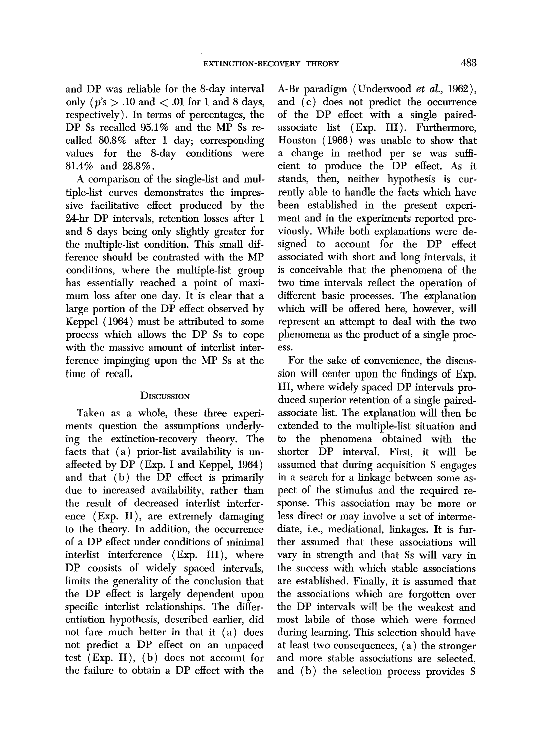and DP was reliable for the 8-day interval only ( $p's > .10$  and  $\lt$  .01 for 1 and 8 days, respectively). In terms of percentages, the DP Ss recalled 95.1% and the MP Ss recalled 80.8% after 1 day; corresponding values for the 8-day conditions were 81.4% and 28.8%.

A comparison of the single-list and multiple-list curves demonstrates the impressive facilitative effect produced by the 24-hr DP intervals, retention losses after 1 and 8 days being only slightly greater for the multiple-list condition. This small difference should be contrasted with the MP conditions, where the multiple-list group has essentially reached a point of maximum loss after one day. It is clear that a large portion of the DP effect observed by Keppel (1964) must be attributed to some process which allows the DP Ss to cope with the massive amount of interlist interference impinging upon the MP Ss at the time of recall.

#### **DISCUSSION**

Taken as a whole, these three experiments question the assumptions underlying the extinction-recovery theory. The facts that (a) prior-list availability is unaffected by DP (Exp. I and Keppel, 1964) and that (b) the DP effect is primarily due to increased availability, rather than the result of decreased interlist interference (Exp. II), are extremely damaging to the theory. In addition, the occurrence of a DP effect under conditions of minimal interlist interference (Exp. III), where DP consists of widely spaced intervals, limits the generality of the conclusion that the DP effect is largely dependent upon specific interlist relationships. The differentiation hypothesis, described earlier, did not fare much better in that it (a) does not predict a DP effect on an unpaced test (Exp. II), (b) does not account for the failure to obtain a DP effect with the A-Br paradigm (Underwood *et al.,* 1962), and (c) does not predict the occurrence of the DP effect with a single pairedassociate list (Exp. III). Furthermore, Houston (1966) was unable to show that a change in method per se was sufficient to produce the DP effect. As it stands, then, neither hypothesis is currently able to handle the facts which have been established in the present experiment and in the experiments reported previously. While both explanations were designed to account for the DP effect associated with short and long intervals, it is conceivable that the phenomena of the two time intervals reflect the operation of different basic processes. The explanation which will be offered here, however, will represent an attempt to deal with the two phenomena as the product of a single process.

For the sake of convenience, the discussion will center upon the findings of Exp. III, where widely spaced DP intervals produced superior retention of a single pairedassociate list. The explanation will then be extended to the multiple-list situation and to the phenomena obtained with the shorter DP interval. First, it will be assumed that during acquisition S engages in a search for a linkage between some aspect of the stimulus and the required response. This association may be more or less direct or may involve a set of intermediate, i.e., mediational, linkages. It is further assumed that these associations will vary in strength and that Ss will vary in the success with which stable associations are established. Finally, it is assumed that the associations which are forgotten over the DP intervals will be the weakest and most labile of those which were formed during learning. This selection should have at least two consequences, (a) the stronger and more stable associations are selected, and (b) the selection process provides S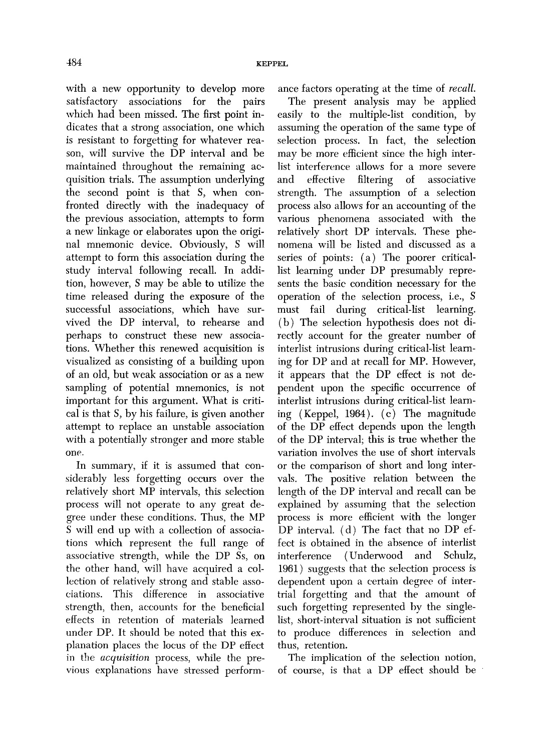with a new opportunity to develop more satisfactory associations for the pairs which had been missed. The first point indicates that a strong association, one which is resistant to forgetting for whatever reason, will survive the DP interval and be maintained throughout the remaining acquisition trials. The assumption underlying the second point is that S, when confronted directly with the inadequacy of the previous association, attempts to form a new linkage or elaborates upon the original mnemonic device. Obviously, S will attempt to form this association during the study interval following recall. In addition, however, S may be able to utilize the time released during the exposure of the successful associations, which have survived the DP interval, to rehearse and perhaps to construct these new associations. Whether this renewed acquisition is visualized as consisting of a building upon of an old, but weak association or as a new sampling of potential mnemonics, is not important for this argument. What is critical is that S, by his failure, is given another attempt to replaee an unstable association with a potentially stronger and more stable one.

In summary, if it is assumed that considerably less forgetting occurs over the relatively short MP intervals, this selection process will not operate to any great degree under these conditions. Thus, the MP S will end up with a collection of associations which represent the full range of associative strength, while the DP Ss, on the other hand, will have acquired a collection of relatively strong and stable associations. This difference in associative strength, then, accounts for the beneficial effects in retention of materials learned under DP. It should be noted that this explanation places the locus of the DP effect in the *acquisition* process, while the previous explanations have stressed performance factors operating at the time of *recall*.

The present analysis may be applied easily to the multiple-list condition, by assuming the operation of the same type of selection process. In fact, the selection may be more effleient since the high interlist interference allows for a more severe and effective filtering of associative strength. The assumption of a selection process also allows for an accounting of the various phenomena assoeiated with the relatively short DP intervals. These phenomena will be listed and discussed as a series of points: (a) The poorer criticallist learning under DP presumably represents the basic condition necessary for the operation of the selection process, i.e., S must fail during critical-list learning. (b) The selection hypothesis does not directly account for the greater number of interlist intrusions during critical-list learning for DP and at recall for MP. However, it appears that the DP effect is not dependent upon the specific occurrence of interlist intrusions during critical-list learning (Keppel, 1964). (e) The magnitude of the DP effect depends upon the length of the DP interval; this is true whether the variation involves the use of short intervals or the eomparison of short and long intervals. The positive relation between the length of the DP interval and recall can be explained by assuming that the selection process is more efficient with the longer DP interval. (d) The fact that no DP effect is obtained in the absence of interlist interference (Underwood and Sehulz, 1961) suggests that the selection process is dependent upon a certain degree of intertrial forgetting and that the amount of such forgetting represented by the singlelist, short-interval situation is not sufficient to produce differences in selection and thus, retention.

The implication of the selection notion, of eourse, is that a DP effect should be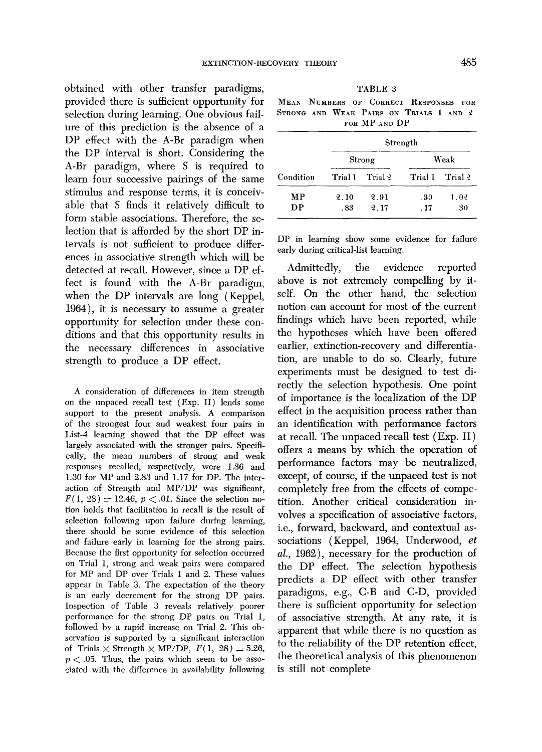obtained with other transfer paradigms, provided there is sufficient opportunity for selection during learning. One obvious failure of this prediction is the absence of a DP effect with the A-Br paradigm when the DP interval is short. Considering the A-Br paradigm, where S is required to learn four successive pairings of the same stimulus and response terms, it is conceivable that S finds it relatively difficult to form stable associations. Therefore, the selection that is afforded by the short DP intervals is not sufficient to produce differences in associative strength which will be detected at recall. However, since a DP effect is found with the A-Br paradigm, when the DP intervals are long (Keppel, 1964), it is necessary to assume a greater opportunity for selection under these conditions and that this opportunity results in the necessary differences in associative strength to produce a DP effect.

A consideration of differences in item strength on the unpaced recall test (Exp. II) lends some support to the present analysis. A comparison of the strongest four and weakest four pairs in List-4 learning showed that the DP effect was largely associated with the stronger pairs. Specifically, the mean numbers of strong and weak responses recalled, respectively, were 1.86 and 1.30 for MP and 2.83 and 1.17 for DP. The interaction of Strength and MP/DP was significant,  $F(1, 28) = 12.46, p < .01$ . Since the selection notion holds that facilitation in recall is the result of selection following upon failure during learning, there should be some evidence of this selection and failure early in learning for the strong pairs. Because the first opportunity for selection occurred on Trial 1, strong and weak pairs were compared for MP and DP over Trials 1 and 2. These values appear in Table 3. The expectation of the theory is an early decrement for the strong DP pairs. Inspection of Table 3 reveals relatively poorer performance for the strong DP pairs on Trial 1, followed by a rapid increase on Trial 2. This observation is supported by a significant interaction of Trials  $\times$  Strength  $\times$  MP/DP,  $F(1, 28) = 5.26$ ,  $p < .05$ . Thus, the pairs which seem to be associated with the difference in availability following

| ABL. |  |
|------|--|
|------|--|

|  |  |               | MEAN NUMBERS OF CORRECT RESPONSES FOR   |  |  |
|--|--|---------------|-----------------------------------------|--|--|
|  |  |               | STRONG AND WEAK PAIRS ON TRIALS 1 AND 2 |  |  |
|  |  | FOR MP AND DP |                                         |  |  |

| Condition | Strength |                 |      |                 |  |  |
|-----------|----------|-----------------|------|-----------------|--|--|
|           |          | Strong          | Weak |                 |  |  |
|           |          | Trial 1 Trial 2 |      | Trial 1 Trial 2 |  |  |
| MР        | 2.10     | 2.91            | -30  | 102             |  |  |
| DP        | . 83     | 2.17            | . 17 | -30             |  |  |

DP in learning show some evidence for failure early during critical-list learning.

Admittedly, the evidence reported above is not extremely compelling by itself. On the other hand, the selection notion can account for most of the current findings which have been reported, while the hypotheses which have been offered earlier, extinction-recovery and differentiation, are unable to do so. Clearly, future experiments must be designed to test directly the selection hypothesis. One point of importance is the localization of the DP effect in the acquisition process rather than an identification with performance factors at recall. The unpaced recall test (Exp. II) offers a means by which the operation of performance factors may be neutralized, except, of course, ff the unpaced test is not completely free from the effects of competition. Another critical consideration involves a specification of associative factors, i.e., forward, backward, and contextual associations (Keppel, 1964, Underwood, *et al.,* 1962), necessary for the production of the DP effect. The selection hypothesis predicts a DP effect with other transfer paradigms, e.g., C-B and C-D, provided there is sufficient opportunity for selection of associative strength. At any rate, it is apparent that while there is no question as to the reliability of the DP retention effect, the theoretical analysis of this phenomenon is still not complete